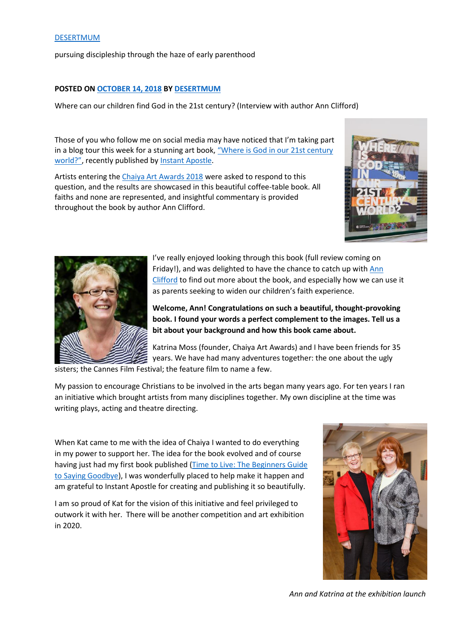#### [DESERTMUM](https://desertmum1.wordpress.com/)

pursuing discipleship through the haze of early parenthood

#### **POSTED ON [OCTOBER 14, 2018](https://desertmum1.wordpress.com/2018/10/14/where-can-our-children-find-god-in-the-21st-century-interview-with-author-ann-clifford/) BY [DESERTMUM](https://desertmum1.wordpress.com/author/desertmum1/)**

Where can our children find God in the 21st century? (Interview with author Ann Clifford)

Those of you who follow me on social media may have noticed that I'm taking part in a blog tour this week for a stunning art book, ["Where is God in ou](https://wordery.com/where-is-god-in-our-21st-century-world-ann-clifford-9781909728905?currency=GBP>rck=emFNWk9RVU1idGdjaHVqS1c3d01sMVFZczhwMWx5NXQ4enhPU3dySTFPMnlPZGU2SlJBZnlYaHUySlY2dlRrYWY4L1VFc05mUU1qaTBjVEJHbHkvZmc9PQ&gclid=EAIaIQobChMI4JW0ztaG3gIVAUTTCh1yCwIGEAkYAyABEgK9W_D_BwE#oid=1957_1)r 21st century [world?"](https://wordery.com/where-is-god-in-our-21st-century-world-ann-clifford-9781909728905?currency=GBP>rck=emFNWk9RVU1idGdjaHVqS1c3d01sMVFZczhwMWx5NXQ4enhPU3dySTFPMnlPZGU2SlJBZnlYaHUySlY2dlRrYWY4L1VFc05mUU1qaTBjVEJHbHkvZmc9PQ&gclid=EAIaIQobChMI4JW0ztaG3gIVAUTTCh1yCwIGEAkYAyABEgK9W_D_BwE#oid=1957_1), recently published by [Instant Apostle.](https://instantapostle.com/)

Artists entering the [Chaiya Art Awards 2018](https://www.chaiyaartawards.co.uk/) were asked to respond to this question, and the results are showcased in this beautiful coffee-table book. All faiths and none are represented, and insightful commentary is provided throughout the book by author Ann Clifford.





I've really enjoyed looking through this book (full review coming on Friday!), and was delighted to have the chance to catch up with Ann [Clifford](http://www.annclifford.co.uk/) to find out more about the book, and especially how we can use it as parents seeking to widen our children's faith experience.

**Welcome, Ann! Congratulations on such a beautiful, thought-provoking book. I found your words a perfect complement to the images. Tell us a bit about your background and how this book came about.**

Katrina Moss (founder, Chaiya Art Awards) and I have been friends for 35 years. We have had many adventures together: the one about the ugly

sisters; the Cannes Film Festival; the feature film to name a few.

My passion to encourage Christians to be involved in the arts began many years ago. For ten years I ran an initiative which brought artists from many disciplines together. My own discipline at the time was writing plays, acting and theatre directing.

When Kat came to me with the idea of Chaiya I wanted to do everything in my power to support her. The idea for the book evolved and of course having just had my first book published [\(Time to Live: The Beginners Guide](https://wordery.com/time-to-live-ann-clifford-9781909728684?cTrk=MTA2NTQxMDEwfDViYzM5YmIwODdlNGY6MToxOjViYzM5YTViMTc4Y2QyLjcxNDI4MjQ2OjE5NmE1ZTEw#oid=1957_1)  [to Saying Goodbye\)](https://wordery.com/time-to-live-ann-clifford-9781909728684?cTrk=MTA2NTQxMDEwfDViYzM5YmIwODdlNGY6MToxOjViYzM5YTViMTc4Y2QyLjcxNDI4MjQ2OjE5NmE1ZTEw#oid=1957_1), I was wonderfully placed to help make it happen and am grateful to Instant Apostle for creating and publishing it so beautifully.

I am so proud of Kat for the vision of this initiative and feel privileged to outwork it with her. There will be another competition and art exhibition in 2020.



*Ann and Katrina at the exhibition launch*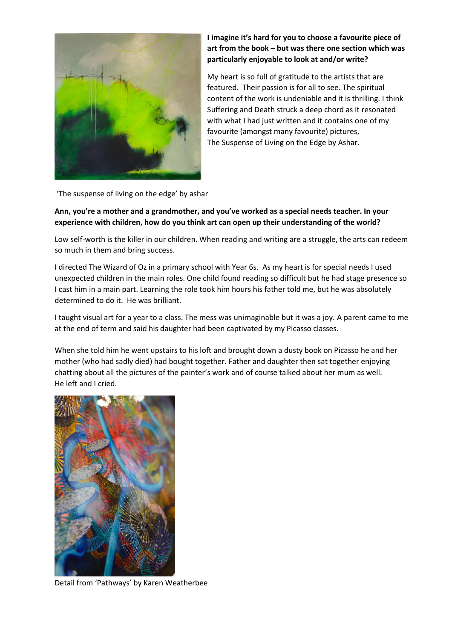

# **I imagine it's hard for you to choose a favourite piece of art from the book – but was there one section which was particularly enjoyable to look at and/or write?**

My heart is so full of gratitude to the artists that are featured. Their passion is for all to see. The spiritual content of the work is undeniable and it is thrilling. I think Suffering and Death struck a deep chord as it resonated with what I had just written and it contains one of my favourite (amongst many favourite) pictures, The Suspense of Living on the Edge by Ashar.

'The suspense of living on the edge' by ashar

# **Ann, you're a mother and a grandmother, and you've worked as a special needs teacher. In your experience with children, how do you think art can open up their understanding of the world?**

Low self-worth is the killer in our children. When reading and writing are a struggle, the arts can redeem so much in them and bring success.

I directed The Wizard of Oz in a primary school with Year 6s. As my heart is for special needs I used unexpected children in the main roles. One child found reading so difficult but he had stage presence so I cast him in a main part. Learning the role took him hours his father told me, but he was absolutely determined to do it. He was brilliant.

I taught visual art for a year to a class. The mess was unimaginable but it was a joy. A parent came to me at the end of term and said his daughter had been captivated by my Picasso classes.

When she told him he went upstairs to his loft and brought down a dusty book on Picasso he and her mother (who had sadly died) had bought together. Father and daughter then sat together enjoying chatting about all the pictures of the painter's work and of course talked about her mum as well. He left and I cried.



Detail from 'Pathways' by Karen Weatherbee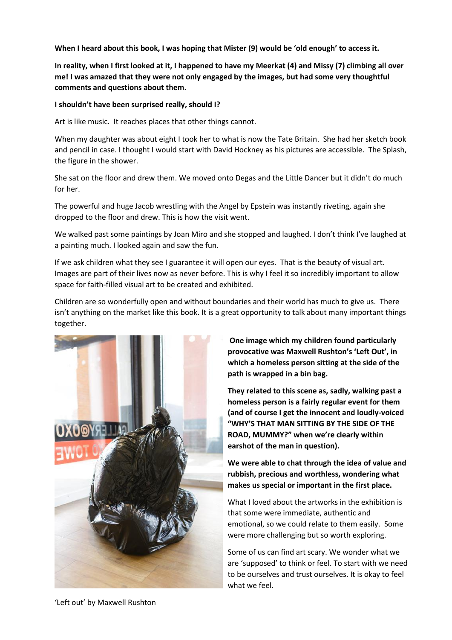**When I heard about this book, I was hoping that Mister (9) would be 'old enough' to access it.**

**In reality, when I first looked at it, I happened to have my Meerkat (4) and Missy (7) climbing all over me! I was amazed that they were not only engaged by the images, but had some very thoughtful comments and questions about them.**

### **I shouldn't have been surprised really, should I?**

Art is like music. It reaches places that other things cannot.

When my daughter was about eight I took her to what is now the Tate Britain. She had her sketch book and pencil in case. I thought I would start with David Hockney as his pictures are accessible. The Splash, the figure in the shower.

She sat on the floor and drew them. We moved onto Degas and the Little Dancer but it didn't do much for her.

The powerful and huge Jacob wrestling with the Angel by Epstein was instantly riveting, again she dropped to the floor and drew. This is how the visit went.

We walked past some paintings by Joan Miro and she stopped and laughed. I don't think I've laughed at a painting much. I looked again and saw the fun.

If we ask children what they see I guarantee it will open our eyes. That is the beauty of visual art. Images are part of their lives now as never before. This is why I feel it so incredibly important to allow space for faith-filled visual art to be created and exhibited.

Children are so wonderfully open and without boundaries and their world has much to give us. There isn't anything on the market like this book. It is a great opportunity to talk about many important things together.



**One image which my children found particularly provocative was Maxwell Rushton's 'Left Out', in which a homeless person sitting at the side of the path is wrapped in a bin bag.**

**They related to this scene as, sadly, walking past a homeless person is a fairly regular event for them (and of course I get the innocent and loudly-voiced "WHY'S THAT MAN SITTING BY THE SIDE OF THE ROAD, MUMMY?" when we're clearly within earshot of the man in question).**

**We were able to chat through the idea of value and rubbish, precious and worthless, wondering what makes us special or important in the first place.**

What I loved about the artworks in the exhibition is that some were immediate, authentic and emotional, so we could relate to them easily. Some were more challenging but so worth exploring.

Some of us can find art scary. We wonder what we are 'supposed' to think or feel. To start with we need to be ourselves and trust ourselves. It is okay to feel what we feel.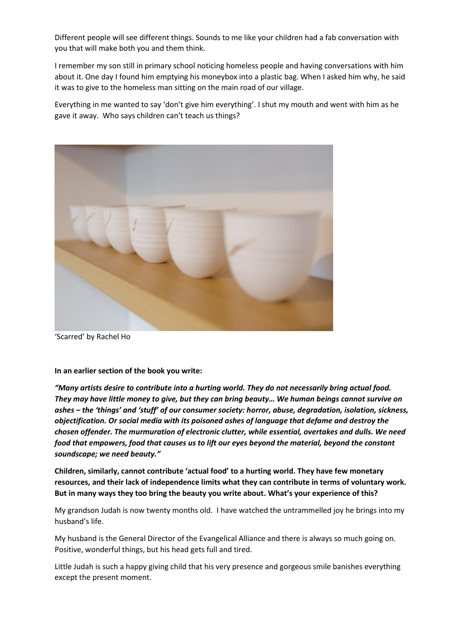Different people will see different things. Sounds to me like your children had a fab conversation with you that will make both you and them think.

I remember my son still in primary school noticing homeless people and having conversations with him about it. One day I found him emptying his moneybox into a plastic bag. When I asked him why, he said it was to give to the homeless man sitting on the main road of our village.

Everything in me wanted to say 'don't give him everything'. I shut my mouth and went with him as he gave it away. Who says children can't teach us things?



'Scarred' by Rachel Ho

**In an earlier section of the book you write:**

*"Many artists desire to contribute into a hurting world. They do not necessarily bring actual food. They may have little money to give, but they can bring beauty… We human beings cannot survive on ashes – the 'things' and 'stuff' of our consumer society: horror, abuse, degradation, isolation, sickness, objectification. Or social media with its poisoned ashes of language that defame and destroy the chosen offender. The murmuration of electronic clutter, while essential, overtakes and dulls. We need food that empowers, food that causes us to lift our eyes beyond the material, beyond the constant soundscape; we need beauty."*

**Children, similarly, cannot contribute 'actual food' to a hurting world. They have few monetary resources, and their lack of independence limits what they can contribute in terms of voluntary work. But in many ways they too bring the beauty you write about. What's your experience of this?**

My grandson Judah is now twenty months old. I have watched the untrammelled joy he brings into my husband's life.

My husband is the General Director of the Evangelical Alliance and there is always so much going on. Positive, wonderful things, but his head gets full and tired.

Little Judah is such a happy giving child that his very presence and gorgeous smile banishes everything except the present moment.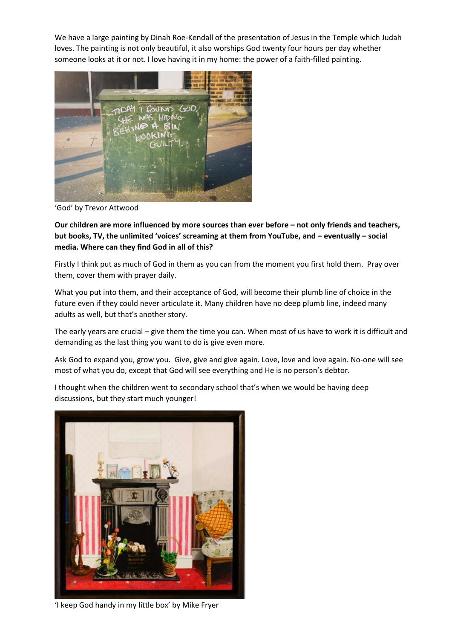We have a large painting by Dinah Roe-Kendall of the presentation of Jesus in the Temple which Judah loves. The painting is not only beautiful, it also worships God twenty four hours per day whether someone looks at it or not. I love having it in my home: the power of a faith-filled painting.



'God' by Trevor Attwood

**Our children are more influenced by more sources than ever before – not only friends and teachers, but books, TV, the unlimited 'voices' screaming at them from YouTube, and – eventually – social media. Where can they find God in all of this?**

Firstly I think put as much of God in them as you can from the moment you first hold them. Pray over them, cover them with prayer daily.

What you put into them, and their acceptance of God, will become their plumb line of choice in the future even if they could never articulate it. Many children have no deep plumb line, indeed many adults as well, but that's another story.

The early years are crucial – give them the time you can. When most of us have to work it is difficult and demanding as the last thing you want to do is give even more.

Ask God to expand you, grow you. Give, give and give again. Love, love and love again. No-one will see most of what you do, except that God will see everything and He is no person's debtor.

I thought when the children went to secondary school that's when we would be having deep discussions, but they start much younger!



'I keep God handy in my little box' by Mike Fryer